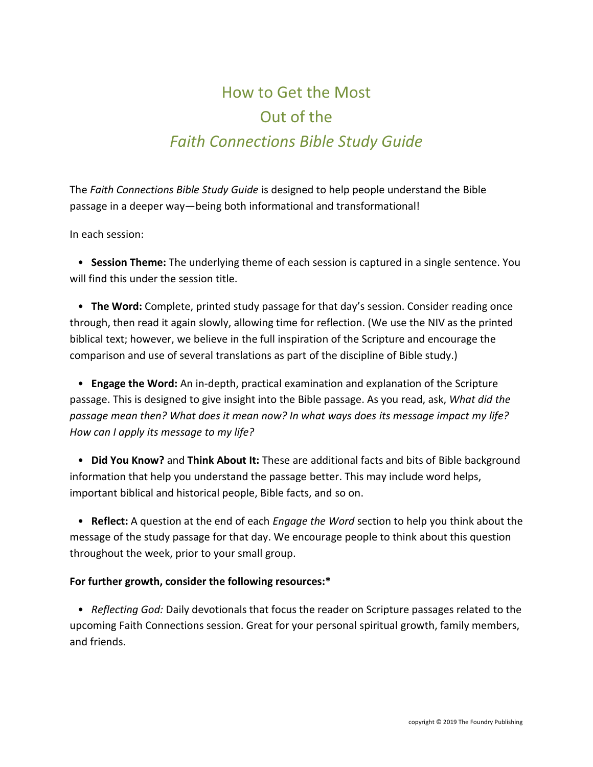## How to Get the Most Out of the *Faith Connections Bible Study Guide*

The *Faith Connections Bible Study Guide* is designed to help people understand the Bible passage in a deeper way—being both informational and transformational!

In each session:

 • **Session Theme:** The underlying theme of each session is captured in a single sentence. You will find this under the session title.

 • **The Word:** Complete, printed study passage for that day's session. Consider reading once through, then read it again slowly, allowing time for reflection. (We use the NIV as the printed biblical text; however, we believe in the full inspiration of the Scripture and encourage the comparison and use of several translations as part of the discipline of Bible study.)

 • **Engage the Word:** An in-depth, practical examination and explanation of the Scripture passage. This is designed to give insight into the Bible passage. As you read, ask, *What did the passage mean then? What does it mean now? In what ways does its message impact my life? How can I apply its message to my life?*

 • **Did You Know?** and **Think About It:** These are additional facts and bits of Bible background information that help you understand the passage better. This may include word helps, important biblical and historical people, Bible facts, and so on.

 • **Reflect:** A question at the end of each *Engage the Word* section to help you think about the message of the study passage for that day. We encourage people to think about this question throughout the week, prior to your small group.

## **For further growth, consider the following resources:\***

 • *Reflecting God:* Daily devotionals that focus the reader on Scripture passages related to the upcoming Faith Connections session. Great for your personal spiritual growth, family members, and friends.